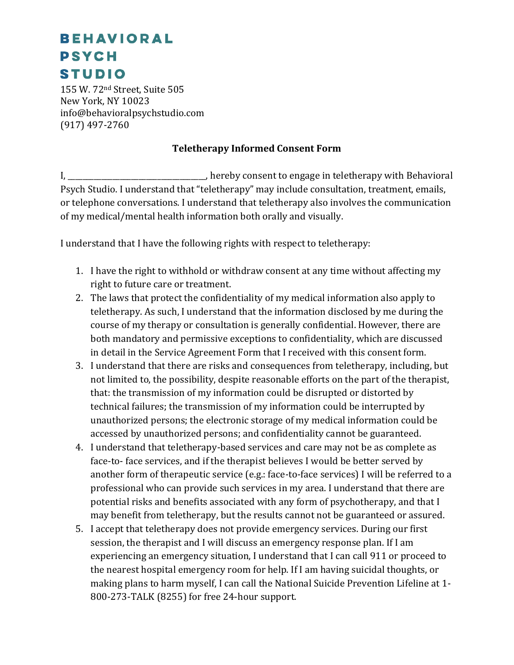## **BEHAVIORAL PSYCH STUDIO**

155 W. 72nd Street, Suite 505 New York, NY 10023 info@behavioralpsychstudio.com (917) 497-2760

## **Teletherapy Informed Consent Form**

I, Letter the state of the consent to engage in teletherapy with Behavioral in the state of the state of the state of the state of the state of the state of the state of the state of the state of the state of the state of Psych Studio. I understand that "teletherapy" may include consultation, treatment, emails, or telephone conversations. I understand that teletherapy also involves the communication of my medical/mental health information both orally and visually.

I understand that I have the following rights with respect to teletherapy:

- 1. I have the right to withhold or withdraw consent at any time without affecting my right to future care or treatment.
- 2. The laws that protect the confidentiality of my medical information also apply to teletherapy. As such, I understand that the information disclosed by me during the course of my therapy or consultation is generally confidential. However, there are both mandatory and permissive exceptions to confidentiality, which are discussed in detail in the Service Agreement Form that I received with this consent form.
- 3. I understand that there are risks and consequences from teletherapy, including, but not limited to, the possibility, despite reasonable efforts on the part of the therapist, that: the transmission of my information could be disrupted or distorted by technical failures; the transmission of my information could be interrupted by unauthorized persons; the electronic storage of my medical information could be accessed by unauthorized persons; and confidentiality cannot be guaranteed.
- 4. I understand that teletherapy-based services and care may not be as complete as face-to- face services, and if the therapist believes I would be better served by another form of therapeutic service (e.g.: face-to-face services) I will be referred to a professional who can provide such services in my area. I understand that there are potential risks and benefits associated with any form of psychotherapy, and that I may benefit from teletherapy, but the results cannot not be guaranteed or assured.
- 5. I accept that teletherapy does not provide emergency services. During our first session, the therapist and I will discuss an emergency response plan. If I am experiencing an emergency situation, I understand that I can call 911 or proceed to the nearest hospital emergency room for help. If I am having suicidal thoughts, or making plans to harm myself, I can call the National Suicide Prevention Lifeline at 1- 800-273-TALK (8255) for free 24-hour support.